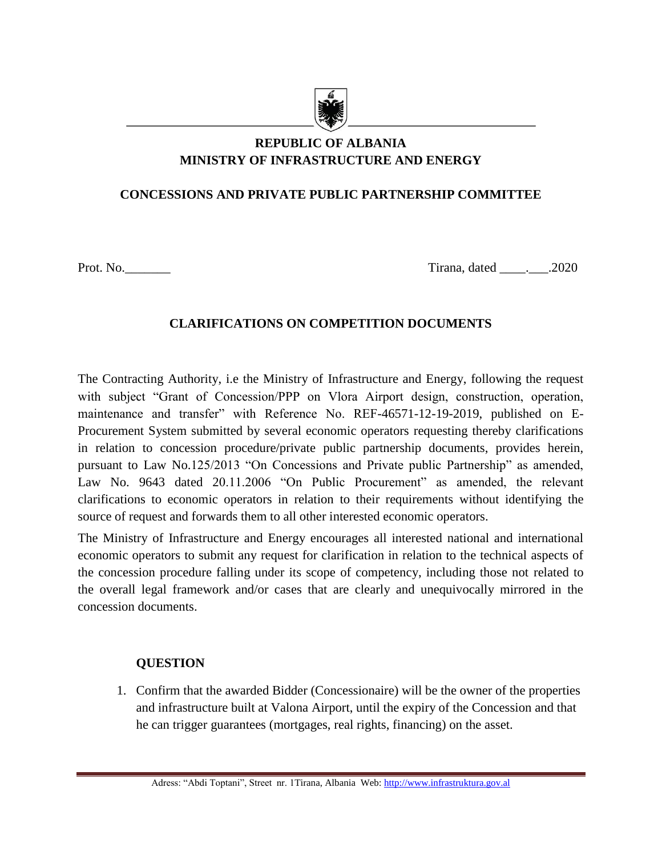

# **REPUBLIC OF ALBANIA MINISTRY OF INFRASTRUCTURE AND ENERGY**

## **CONCESSIONS AND PRIVATE PUBLIC PARTNERSHIP COMMITTEE**

Prot. No. 2020

## **CLARIFICATIONS ON COMPETITION DOCUMENTS**

The Contracting Authority, i.e the Ministry of Infrastructure and Energy, following the request with subject "Grant of Concession/PPP on Vlora Airport design, construction, operation, maintenance and transfer" with Reference No. REF-46571-12-19-2019, published on E-Procurement System submitted by several economic operators requesting thereby clarifications in relation to concession procedure/private public partnership documents, provides herein, pursuant to Law No.125/2013 "On Concessions and Private public Partnership" as amended, Law No. 9643 dated 20.11.2006 "On Public Procurement" as amended, the relevant clarifications to economic operators in relation to their requirements without identifying the source of request and forwards them to all other interested economic operators.

The Ministry of Infrastructure and Energy encourages all interested national and international economic operators to submit any request for clarification in relation to the technical aspects of the concession procedure falling under its scope of competency, including those not related to the overall legal framework and/or cases that are clearly and unequivocally mirrored in the concession documents.

## **QUESTION**

1. Confirm that the awarded Bidder (Concessionaire) will be the owner of the properties and infrastructure built at Valona Airport, until the expiry of the Concession and that he can trigger guarantees (mortgages, real rights, financing) on the asset.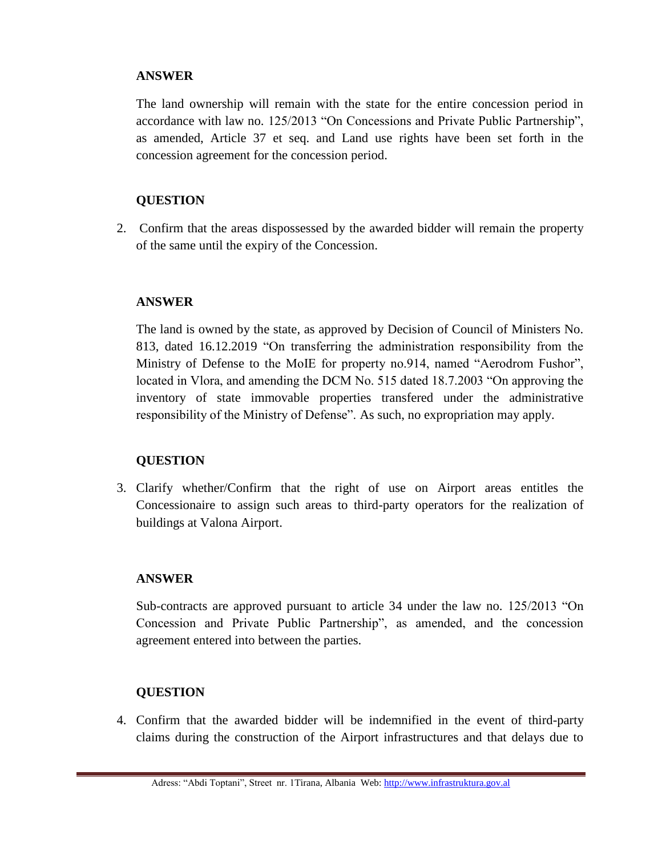The land ownership will remain with the state for the entire concession period in accordance with law no. 125/2013 "On Concessions and Private Public Partnership", as amended, Article 37 et seq. and Land use rights have been set forth in the concession agreement for the concession period.

## **QUESTION**

2. Confirm that the areas dispossessed by the awarded bidder will remain the property of the same until the expiry of the Concession.

### **ANSWER**

The land is owned by the state, as approved by Decision of Council of Ministers No. 813, dated 16.12.2019 "On transferring the administration responsibility from the Ministry of Defense to the MoIE for property no.914, named "Aerodrom Fushor", located in Vlora, and amending the DCM No. 515 dated 18.7.2003 "On approving the inventory of state immovable properties transfered under the administrative responsibility of the Ministry of Defense". As such, no expropriation may apply.

## **QUESTION**

3. Clarify whether/Confirm that the right of use on Airport areas entitles the Concessionaire to assign such areas to third-party operators for the realization of buildings at Valona Airport.

## **ANSWER**

Sub-contracts are approved pursuant to article 34 under the law no. 125/2013 "On Concession and Private Public Partnership", as amended, and the concession agreement entered into between the parties.

## **QUESTION**

4. Confirm that the awarded bidder will be indemnified in the event of third-party claims during the construction of the Airport infrastructures and that delays due to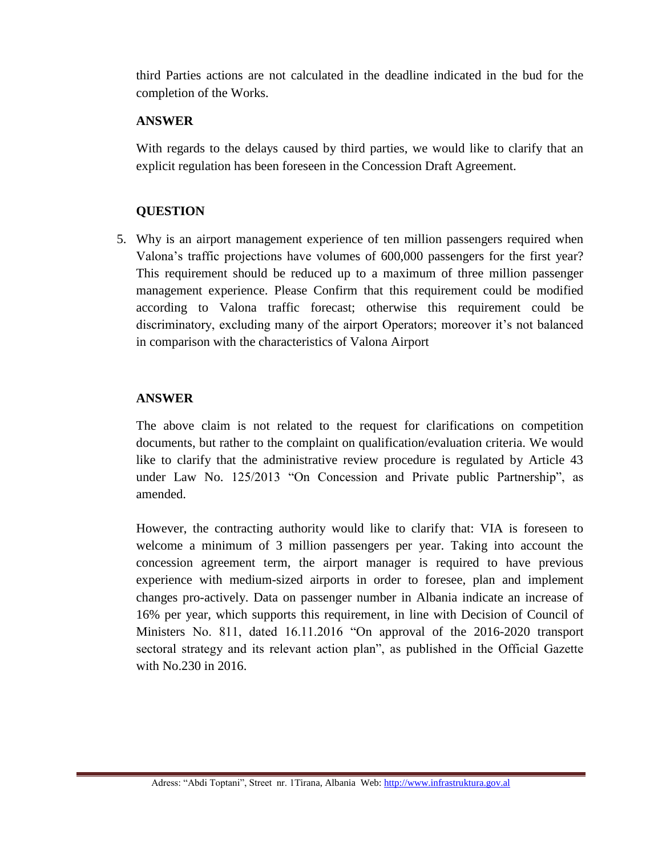third Parties actions are not calculated in the deadline indicated in the bud for the completion of the Works.

### **ANSWER**

With regards to the delays caused by third parties, we would like to clarify that an explicit regulation has been foreseen in the Concession Draft Agreement.

## **QUESTION**

5. Why is an airport management experience of ten million passengers required when Valona's traffic projections have volumes of 600,000 passengers for the first year? This requirement should be reduced up to a maximum of three million passenger management experience. Please Confirm that this requirement could be modified according to Valona traffic forecast; otherwise this requirement could be discriminatory, excluding many of the airport Operators; moreover it's not balanced in comparison with the characteristics of Valona Airport

## **ANSWER**

The above claim is not related to the request for clarifications on competition documents, but rather to the complaint on qualification/evaluation criteria. We would like to clarify that the administrative review procedure is regulated by Article 43 under Law No. 125/2013 "On Concession and Private public Partnership", as amended.

However, the contracting authority would like to clarify that: VIA is foreseen to welcome a minimum of 3 million passengers per year. Taking into account the concession agreement term, the airport manager is required to have previous experience with medium-sized airports in order to foresee, plan and implement changes pro-actively. Data on passenger number in Albania indicate an increase of 16% per year, which supports this requirement, in line with Decision of Council of Ministers No. 811, dated 16.11.2016 "On approval of the 2016-2020 transport sectoral strategy and its relevant action plan", as published in the Official Gazette with No.230 in 2016.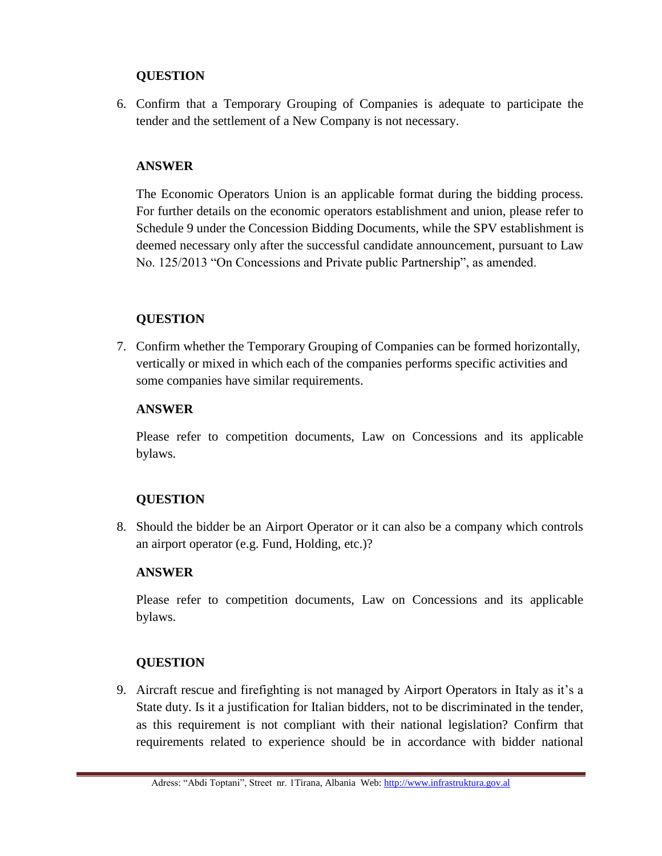6. Confirm that a Temporary Grouping of Companies is adequate to participate the tender and the settlement of a New Company is not necessary.

## **ANSWER**

The Economic Operators Union is an applicable format during the bidding process. For further details on the economic operators establishment and union, please refer to Schedule 9 under the Concession Bidding Documents, while the SPV establishment is deemed necessary only after the successful candidate announcement, pursuant to Law No. 125/2013 "On Concessions and Private public Partnership", as amended.

## **QUESTION**

7. Confirm whether the Temporary Grouping of Companies can be formed horizontally, vertically or mixed in which each of the companies performs specific activities and some companies have similar requirements.

## **ANSWER**

Please refer to competition documents, Law on Concessions and its applicable bylaws.

# **QUESTION**

8. Should the bidder be an Airport Operator or it can also be a company which controls an airport operator (e.g. Fund, Holding, etc.)?

## **ANSWER**

Please refer to competition documents, Law on Concessions and its applicable bylaws.

# **QUESTION**

9. Aircraft rescue and firefighting is not managed by Airport Operators in Italy as it's a State duty. Is it a justification for Italian bidders, not to be discriminated in the tender, as this requirement is not compliant with their national legislation? Confirm that requirements related to experience should be in accordance with bidder national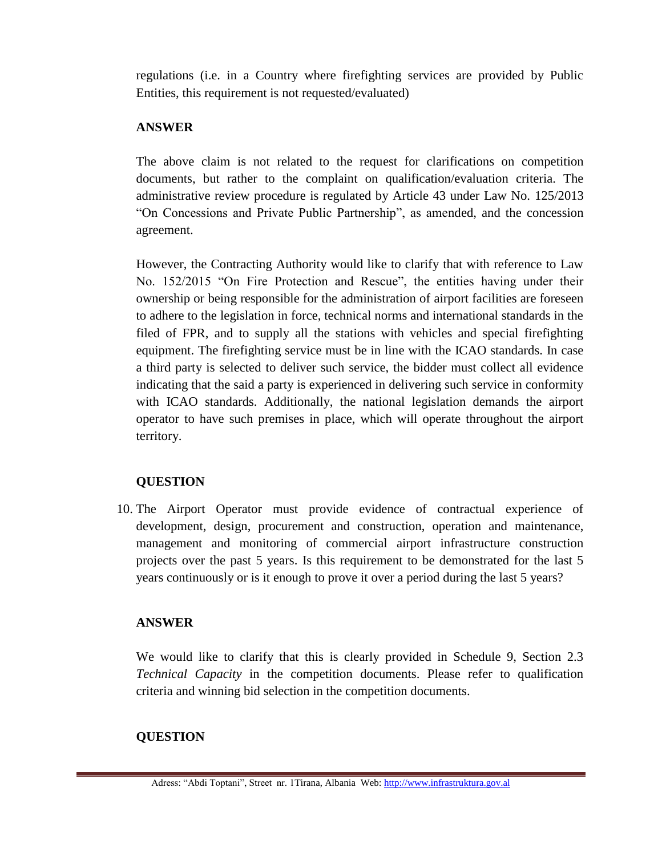regulations (i.e. in a Country where firefighting services are provided by Public Entities, this requirement is not requested/evaluated)

### **ANSWER**

The above claim is not related to the request for clarifications on competition documents, but rather to the complaint on qualification/evaluation criteria. The administrative review procedure is regulated by Article 43 under Law No. 125/2013 "On Concessions and Private Public Partnership", as amended, and the concession agreement.

However, the Contracting Authority would like to clarify that with reference to Law No. 152/2015 "On Fire Protection and Rescue", the entities having under their ownership or being responsible for the administration of airport facilities are foreseen to adhere to the legislation in force, technical norms and international standards in the filed of FPR, and to supply all the stations with vehicles and special firefighting equipment. The firefighting service must be in line with the ICAO standards. In case a third party is selected to deliver such service, the bidder must collect all evidence indicating that the said a party is experienced in delivering such service in conformity with ICAO standards. Additionally, the national legislation demands the airport operator to have such premises in place, which will operate throughout the airport territory.

## **QUESTION**

10. The Airport Operator must provide evidence of contractual experience of development, design, procurement and construction, operation and maintenance, management and monitoring of commercial airport infrastructure construction projects over the past 5 years. Is this requirement to be demonstrated for the last 5 years continuously or is it enough to prove it over a period during the last 5 years?

## **ANSWER**

We would like to clarify that this is clearly provided in Schedule 9, Section 2.3 *Technical Capacity* in the competition documents. Please refer to qualification criteria and winning bid selection in the competition documents.

# **QUESTION**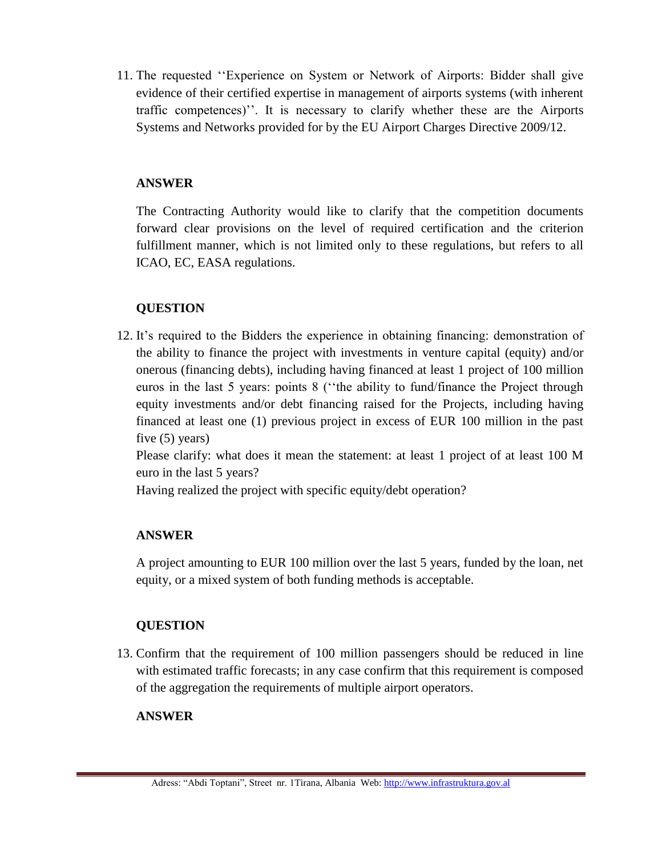11. The requested ''Experience on System or Network of Airports: Bidder shall give evidence of their certified expertise in management of airports systems (with inherent traffic competences)''. It is necessary to clarify whether these are the Airports Systems and Networks provided for by the EU Airport Charges Directive 2009/12.

## **ANSWER**

The Contracting Authority would like to clarify that the competition documents forward clear provisions on the level of required certification and the criterion fulfillment manner, which is not limited only to these regulations, but refers to all ICAO, EC, EASA regulations.

# **QUESTION**

12. It's required to the Bidders the experience in obtaining financing: demonstration of the ability to finance the project with investments in venture capital (equity) and/or onerous (financing debts), including having financed at least 1 project of 100 million euros in the last 5 years: points 8 (''the ability to fund/finance the Project through equity investments and/or debt financing raised for the Projects, including having financed at least one (1) previous project in excess of EUR 100 million in the past five (5) years)

Please clarify: what does it mean the statement: at least 1 project of at least 100 M euro in the last 5 years?

Having realized the project with specific equity/debt operation?

# **ANSWER**

A project amounting to EUR 100 million over the last 5 years, funded by the loan, net equity, or a mixed system of both funding methods is acceptable.

# **QUESTION**

13. Confirm that the requirement of 100 million passengers should be reduced in line with estimated traffic forecasts; in any case confirm that this requirement is composed of the aggregation the requirements of multiple airport operators.

## **ANSWER**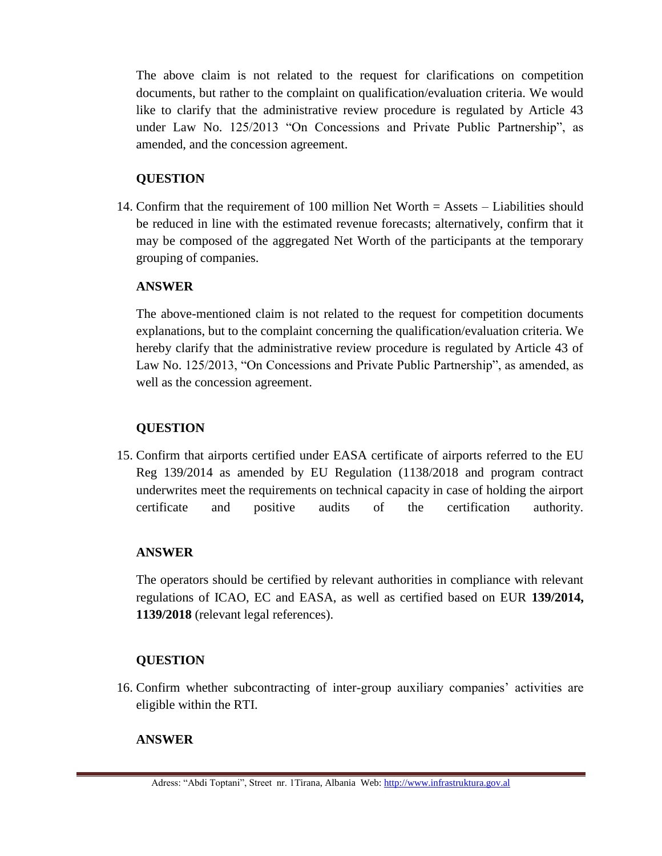The above claim is not related to the request for clarifications on competition documents, but rather to the complaint on qualification/evaluation criteria. We would like to clarify that the administrative review procedure is regulated by Article 43 under Law No. 125/2013 "On Concessions and Private Public Partnership", as amended, and the concession agreement.

## **QUESTION**

14. Confirm that the requirement of 100 million Net Worth = Assets – Liabilities should be reduced in line with the estimated revenue forecasts; alternatively, confirm that it may be composed of the aggregated Net Worth of the participants at the temporary grouping of companies.

## **ANSWER**

The above-mentioned claim is not related to the request for competition documents explanations, but to the complaint concerning the qualification/evaluation criteria. We hereby clarify that the administrative review procedure is regulated by Article 43 of Law No. 125/2013, "On Concessions and Private Public Partnership", as amended, as well as the concession agreement.

## **QUESTION**

15. Confirm that airports certified under EASA certificate of airports referred to the EU Reg 139/2014 as amended by EU Regulation (1138/2018 and program contract underwrites meet the requirements on technical capacity in case of holding the airport certificate and positive audits of the certification authority.

## **ANSWER**

The operators should be certified by relevant authorities in compliance with relevant regulations of ICAO, EC and EASA, as well as certified based on EUR **139/2014, 1139/2018** (relevant legal references).

## **QUESTION**

16. Confirm whether subcontracting of inter-group auxiliary companies' activities are eligible within the RTI.

## **ANSWER**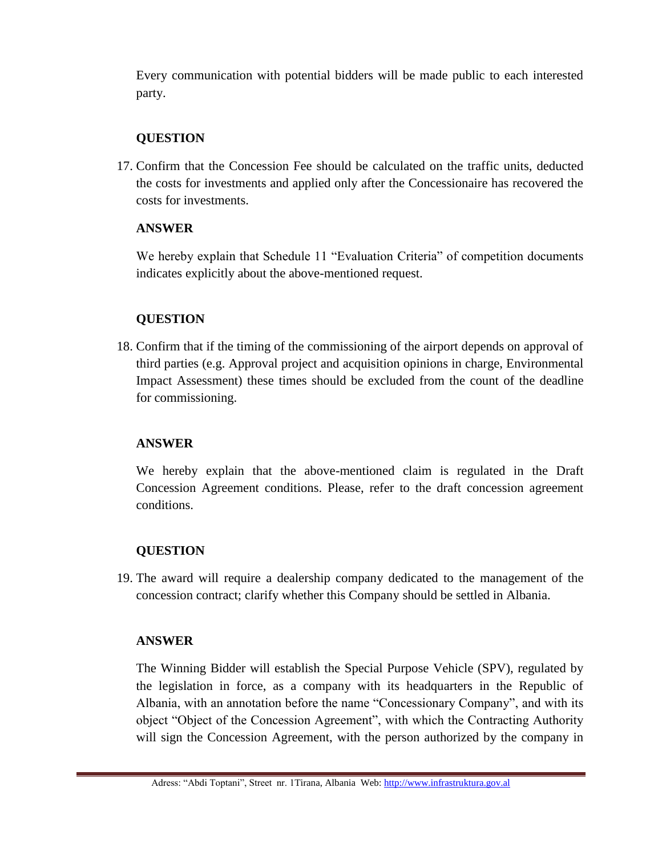Every communication with potential bidders will be made public to each interested party.

## **QUESTION**

17. Confirm that the Concession Fee should be calculated on the traffic units, deducted the costs for investments and applied only after the Concessionaire has recovered the costs for investments.

## **ANSWER**

We hereby explain that Schedule 11 "Evaluation Criteria" of competition documents indicates explicitly about the above-mentioned request.

# **QUESTION**

18. Confirm that if the timing of the commissioning of the airport depends on approval of third parties (e.g. Approval project and acquisition opinions in charge, Environmental Impact Assessment) these times should be excluded from the count of the deadline for commissioning.

## **ANSWER**

We hereby explain that the above-mentioned claim is regulated in the Draft Concession Agreement conditions. Please, refer to the draft concession agreement conditions.

# **QUESTION**

19. The award will require a dealership company dedicated to the management of the concession contract; clarify whether this Company should be settled in Albania.

## **ANSWER**

The Winning Bidder will establish the Special Purpose Vehicle (SPV), regulated by the legislation in force, as a company with its headquarters in the Republic of Albania, with an annotation before the name "Concessionary Company", and with its object "Object of the Concession Agreement", with which the Contracting Authority will sign the Concession Agreement, with the person authorized by the company in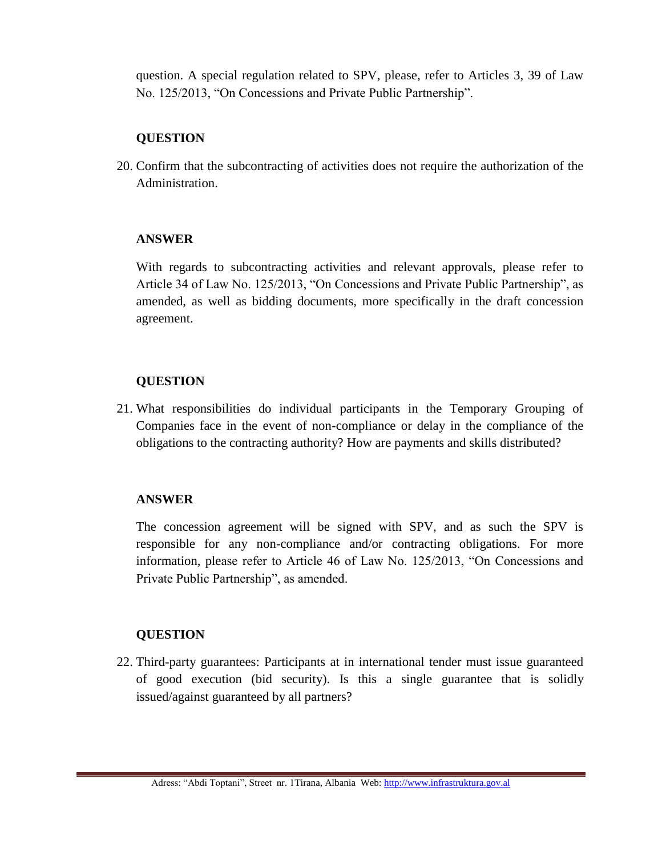question. A special regulation related to SPV, please, refer to Articles 3, 39 of Law No. 125/2013, "On Concessions and Private Public Partnership".

### **QUESTION**

20. Confirm that the subcontracting of activities does not require the authorization of the Administration.

### **ANSWER**

With regards to subcontracting activities and relevant approvals, please refer to Article 34 of Law No. 125/2013, "On Concessions and Private Public Partnership", as amended, as well as bidding documents, more specifically in the draft concession agreement.

## **QUESTION**

21. What responsibilities do individual participants in the Temporary Grouping of Companies face in the event of non-compliance or delay in the compliance of the obligations to the contracting authority? How are payments and skills distributed?

## **ANSWER**

The concession agreement will be signed with SPV, and as such the SPV is responsible for any non-compliance and/or contracting obligations. For more information, please refer to Article 46 of Law No. 125/2013, "On Concessions and Private Public Partnership", as amended.

#### **QUESTION**

22. Third-party guarantees: Participants at in international tender must issue guaranteed of good execution (bid security). Is this a single guarantee that is solidly issued/against guaranteed by all partners?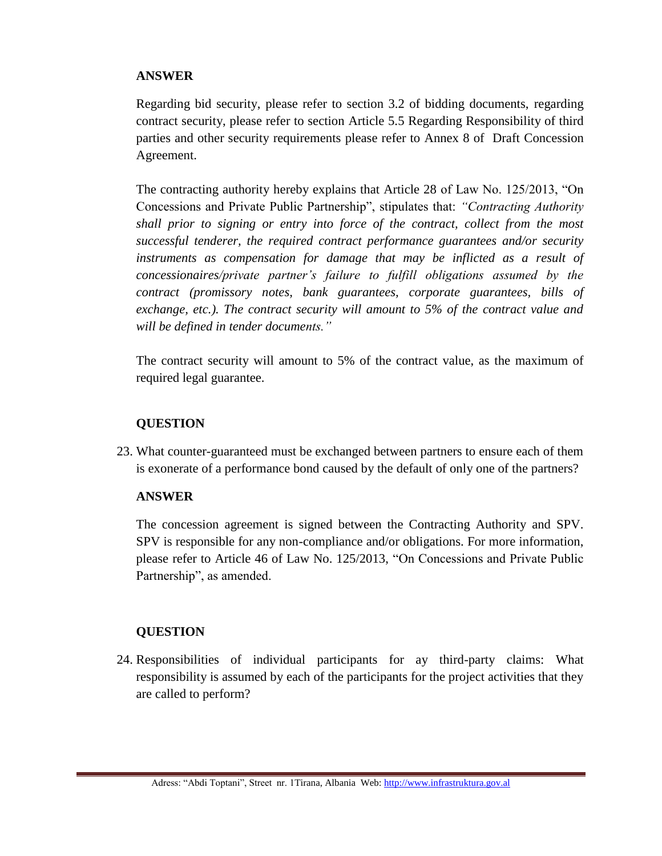Regarding bid security, please refer to section 3.2 of bidding documents, regarding contract security, please refer to section Article 5.5 Regarding Responsibility of third parties and other security requirements please refer to Annex 8 of Draft Concession Agreement.

The contracting authority hereby explains that Article 28 of Law No. 125/2013, "On Concessions and Private Public Partnership", stipulates that: *"Contracting Authority shall prior to signing or entry into force of the contract, collect from the most successful tenderer, the required contract performance guarantees and/or security*  instruments as compensation for damage that may be inflicted as a result of *concessionaires/private partner's failure to fulfill obligations assumed by the contract (promissory notes, bank guarantees, corporate guarantees, bills of exchange, etc.). The contract security will amount to 5% of the contract value and will be defined in tender documents."* 

The contract security will amount to 5% of the contract value, as the maximum of required legal guarantee.

### **QUESTION**

23. What counter-guaranteed must be exchanged between partners to ensure each of them is exonerate of a performance bond caused by the default of only one of the partners?

## **ANSWER**

The concession agreement is signed between the Contracting Authority and SPV. SPV is responsible for any non-compliance and/or obligations. For more information, please refer to Article 46 of Law No. 125/2013, "On Concessions and Private Public Partnership", as amended.

## **QUESTION**

24. Responsibilities of individual participants for ay third-party claims: What responsibility is assumed by each of the participants for the project activities that they are called to perform?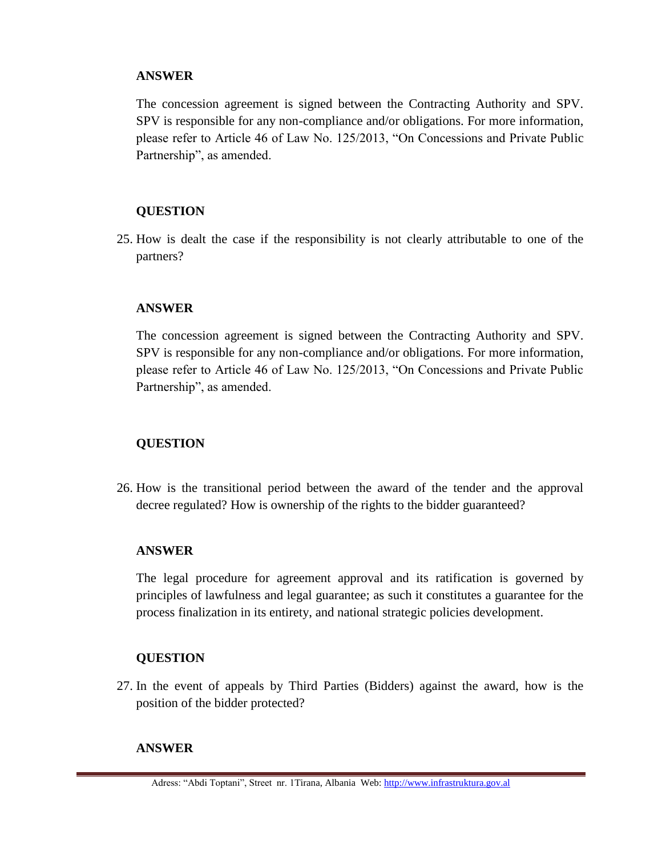The concession agreement is signed between the Contracting Authority and SPV. SPV is responsible for any non-compliance and/or obligations. For more information, please refer to Article 46 of Law No. 125/2013, "On Concessions and Private Public Partnership", as amended.

### **QUESTION**

25. How is dealt the case if the responsibility is not clearly attributable to one of the partners?

### **ANSWER**

The concession agreement is signed between the Contracting Authority and SPV. SPV is responsible for any non-compliance and/or obligations. For more information, please refer to Article 46 of Law No. 125/2013, "On Concessions and Private Public Partnership", as amended.

## **QUESTION**

26. How is the transitional period between the award of the tender and the approval decree regulated? How is ownership of the rights to the bidder guaranteed?

#### **ANSWER**

The legal procedure for agreement approval and its ratification is governed by principles of lawfulness and legal guarantee; as such it constitutes a guarantee for the process finalization in its entirety, and national strategic policies development.

## **QUESTION**

27. In the event of appeals by Third Parties (Bidders) against the award, how is the position of the bidder protected?

## **ANSWER**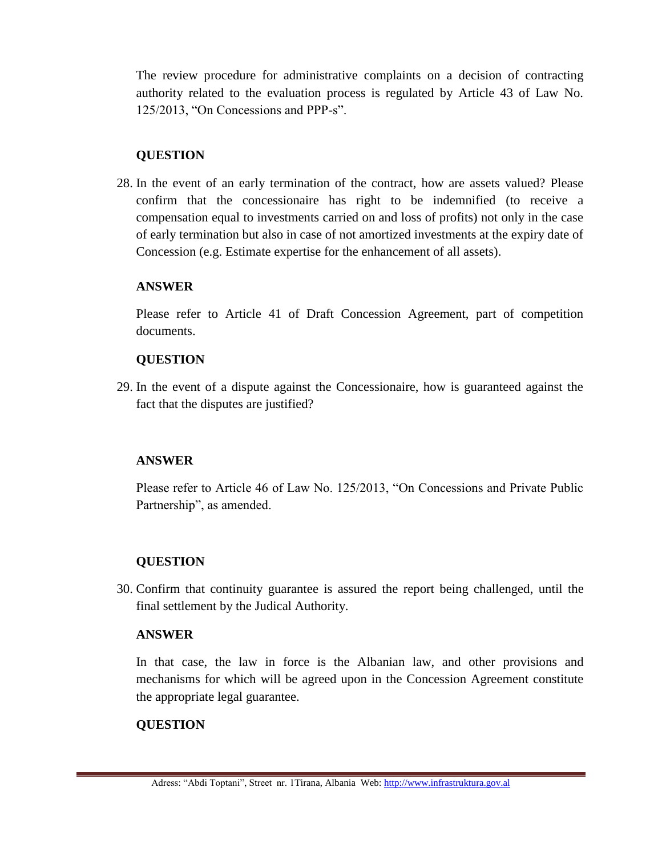The review procedure for administrative complaints on a decision of contracting authority related to the evaluation process is regulated by Article 43 of Law No. 125/2013, "On Concessions and PPP-s".

## **QUESTION**

28. In the event of an early termination of the contract, how are assets valued? Please confirm that the concessionaire has right to be indemnified (to receive a compensation equal to investments carried on and loss of profits) not only in the case of early termination but also in case of not amortized investments at the expiry date of Concession (e.g. Estimate expertise for the enhancement of all assets).

## **ANSWER**

Please refer to Article 41 of Draft Concession Agreement, part of competition documents.

## **QUESTION**

29. In the event of a dispute against the Concessionaire, how is guaranteed against the fact that the disputes are justified?

# **ANSWER**

Please refer to Article 46 of Law No. 125/2013, "On Concessions and Private Public Partnership", as amended.

# **QUESTION**

30. Confirm that continuity guarantee is assured the report being challenged, until the final settlement by the Judical Authority.

## **ANSWER**

In that case, the law in force is the Albanian law, and other provisions and mechanisms for which will be agreed upon in the Concession Agreement constitute the appropriate legal guarantee.

## **QUESTION**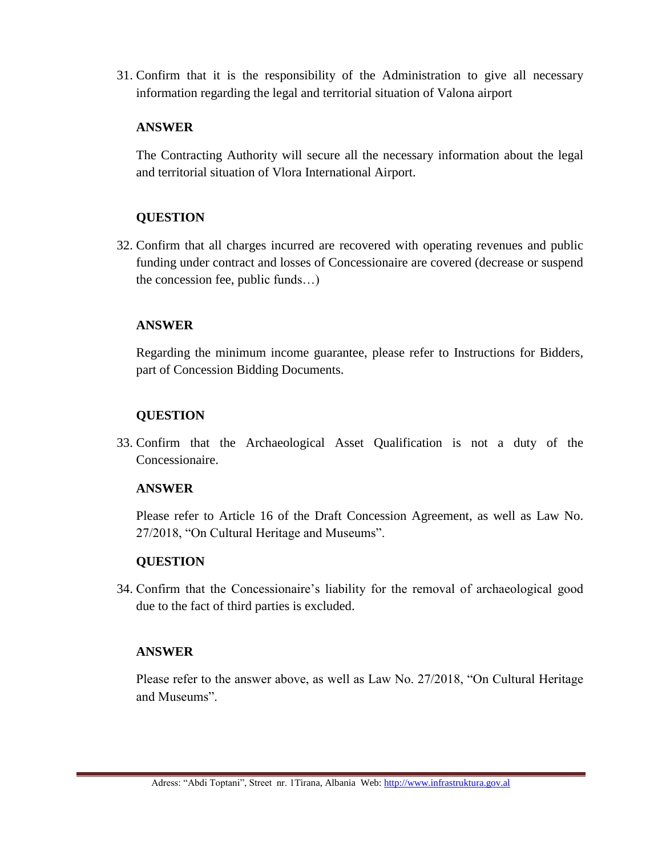31. Confirm that it is the responsibility of the Administration to give all necessary information regarding the legal and territorial situation of Valona airport

### **ANSWER**

The Contracting Authority will secure all the necessary information about the legal and territorial situation of Vlora International Airport.

## **QUESTION**

32. Confirm that all charges incurred are recovered with operating revenues and public funding under contract and losses of Concessionaire are covered (decrease or suspend the concession fee, public funds…)

## **ANSWER**

Regarding the minimum income guarantee, please refer to Instructions for Bidders, part of Concession Bidding Documents.

## **QUESTION**

33. Confirm that the Archaeological Asset Qualification is not a duty of the Concessionaire.

#### **ANSWER**

Please refer to Article 16 of the Draft Concession Agreement, as well as Law No. 27/2018, "On Cultural Heritage and Museums".

## **QUESTION**

34. Confirm that the Concessionaire's liability for the removal of archaeological good due to the fact of third parties is excluded.

## **ANSWER**

Please refer to the answer above, as well as Law No. 27/2018, "On Cultural Heritage and Museums".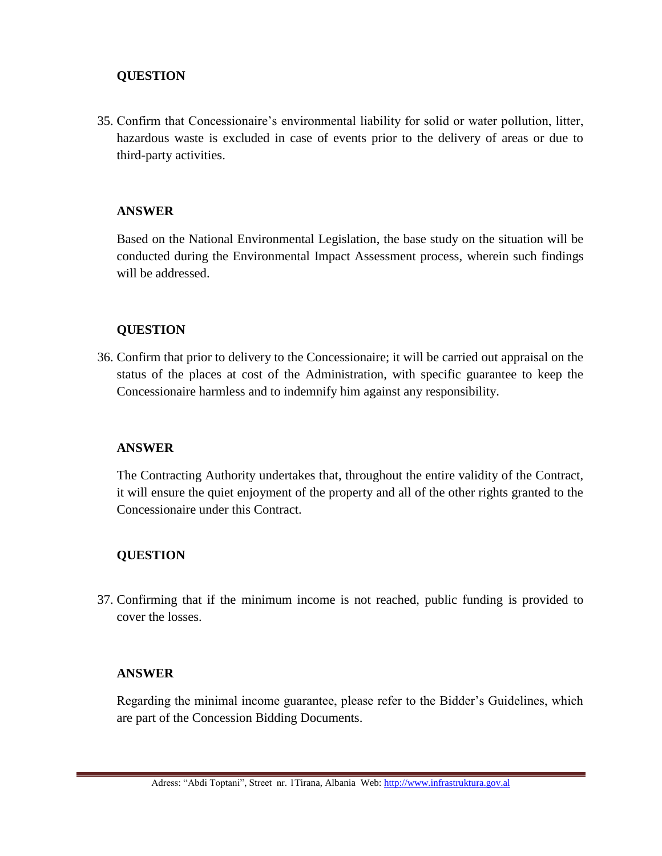35. Confirm that Concessionaire's environmental liability for solid or water pollution, litter, hazardous waste is excluded in case of events prior to the delivery of areas or due to third-party activities.

### **ANSWER**

Based on the National Environmental Legislation, the base study on the situation will be conducted during the Environmental Impact Assessment process, wherein such findings will be addressed.

### **QUESTION**

36. Confirm that prior to delivery to the Concessionaire; it will be carried out appraisal on the status of the places at cost of the Administration, with specific guarantee to keep the Concessionaire harmless and to indemnify him against any responsibility.

#### **ANSWER**

The Contracting Authority undertakes that, throughout the entire validity of the Contract, it will ensure the quiet enjoyment of the property and all of the other rights granted to the Concessionaire under this Contract.

## **QUESTION**

37. Confirming that if the minimum income is not reached, public funding is provided to cover the losses.

#### **ANSWER**

Regarding the minimal income guarantee, please refer to the Bidder's Guidelines, which are part of the Concession Bidding Documents.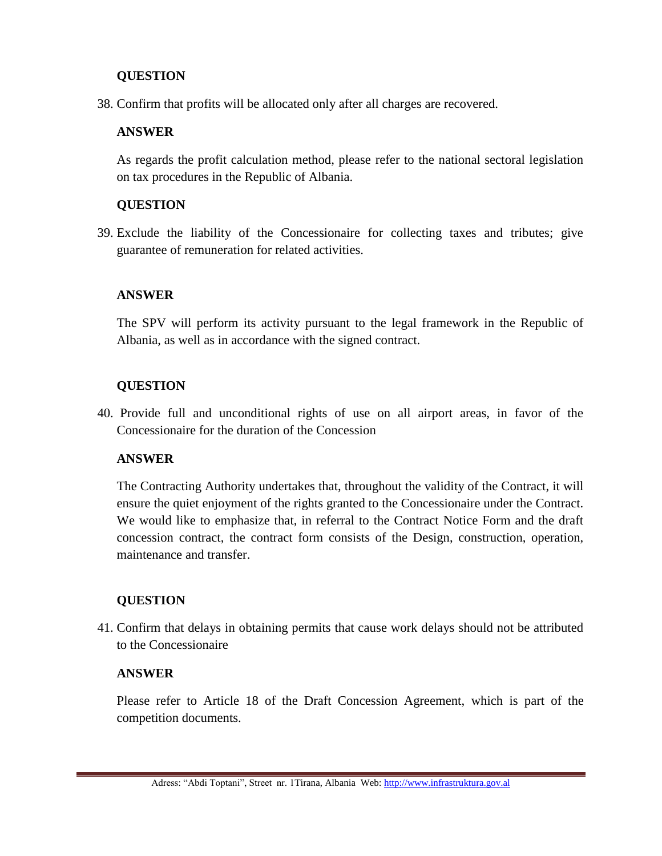38. Confirm that profits will be allocated only after all charges are recovered.

### **ANSWER**

As regards the profit calculation method, please refer to the national sectoral legislation on tax procedures in the Republic of Albania.

### **QUESTION**

39. Exclude the liability of the Concessionaire for collecting taxes and tributes; give guarantee of remuneration for related activities.

### **ANSWER**

The SPV will perform its activity pursuant to the legal framework in the Republic of Albania, as well as in accordance with the signed contract.

### **QUESTION**

40. Provide full and unconditional rights of use on all airport areas, in favor of the Concessionaire for the duration of the Concession

## **ANSWER**

The Contracting Authority undertakes that, throughout the validity of the Contract, it will ensure the quiet enjoyment of the rights granted to the Concessionaire under the Contract. We would like to emphasize that, in referral to the Contract Notice Form and the draft concession contract, the contract form consists of the Design, construction, operation, maintenance and transfer.

## **QUESTION**

41. Confirm that delays in obtaining permits that cause work delays should not be attributed to the Concessionaire

#### **ANSWER**

Please refer to Article 18 of the Draft Concession Agreement, which is part of the competition documents.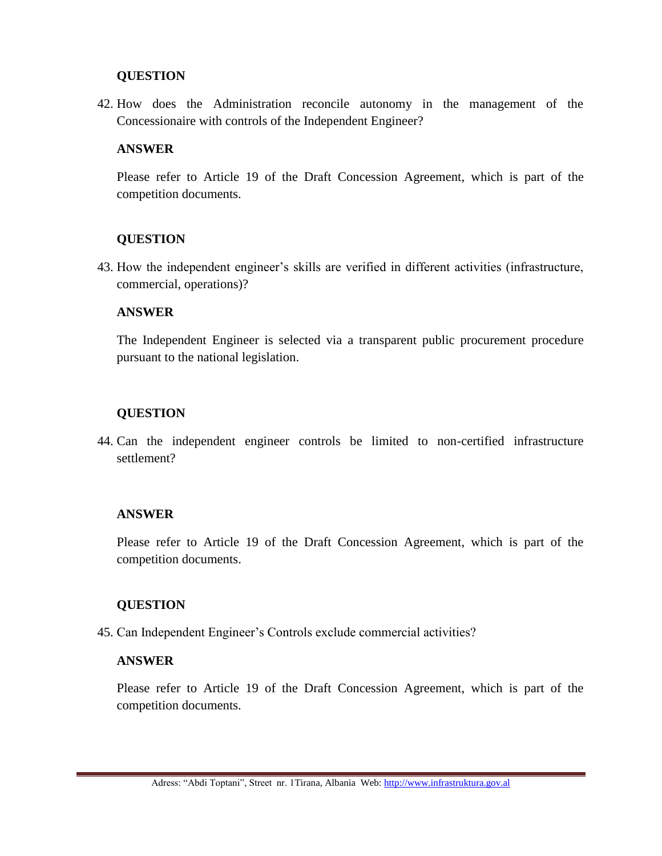42. How does the Administration reconcile autonomy in the management of the Concessionaire with controls of the Independent Engineer?

### **ANSWER**

Please refer to Article 19 of the Draft Concession Agreement, which is part of the competition documents.

### **QUESTION**

43. How the independent engineer's skills are verified in different activities (infrastructure, commercial, operations)?

### **ANSWER**

The Independent Engineer is selected via a transparent public procurement procedure pursuant to the national legislation.

## **QUESTION**

44. Can the independent engineer controls be limited to non-certified infrastructure settlement?

## **ANSWER**

Please refer to Article 19 of the Draft Concession Agreement, which is part of the competition documents.

## **QUESTION**

45. Can Independent Engineer's Controls exclude commercial activities?

#### **ANSWER**

Please refer to Article 19 of the Draft Concession Agreement, which is part of the competition documents.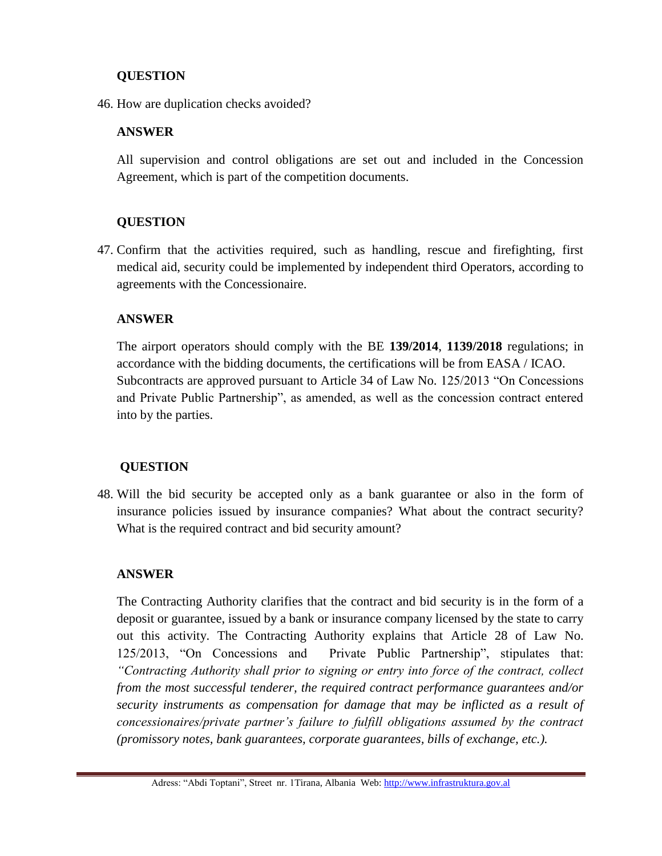46. How are duplication checks avoided?

### **ANSWER**

All supervision and control obligations are set out and included in the Concession Agreement, which is part of the competition documents.

## **QUESTION**

47. Confirm that the activities required, such as handling, rescue and firefighting, first medical aid, security could be implemented by independent third Operators, according to agreements with the Concessionaire.

### **ANSWER**

The airport operators should comply with the BE **139/2014**, **1139/2018** regulations; in accordance with the bidding documents, the certifications will be from EASA / ICAO. Subcontracts are approved pursuant to Article 34 of Law No. 125/2013 "On Concessions and Private Public Partnership", as amended, as well as the concession contract entered into by the parties.

## **QUESTION**

48. Will the bid security be accepted only as a bank guarantee or also in the form of insurance policies issued by insurance companies? What about the contract security? What is the required contract and bid security amount?

#### **ANSWER**

The Contracting Authority clarifies that the contract and bid security is in the form of a deposit or guarantee, issued by a bank or insurance company licensed by the state to carry out this activity. The Contracting Authority explains that Article 28 of Law No. 125/2013, "On Concessions and Private Public Partnership", stipulates that: *"Contracting Authority shall prior to signing or entry into force of the contract, collect from the most successful tenderer, the required contract performance guarantees and/or security instruments as compensation for damage that may be inflicted as a result of concessionaires/private partner's failure to fulfill obligations assumed by the contract (promissory notes, bank guarantees, corporate guarantees, bills of exchange, etc.).*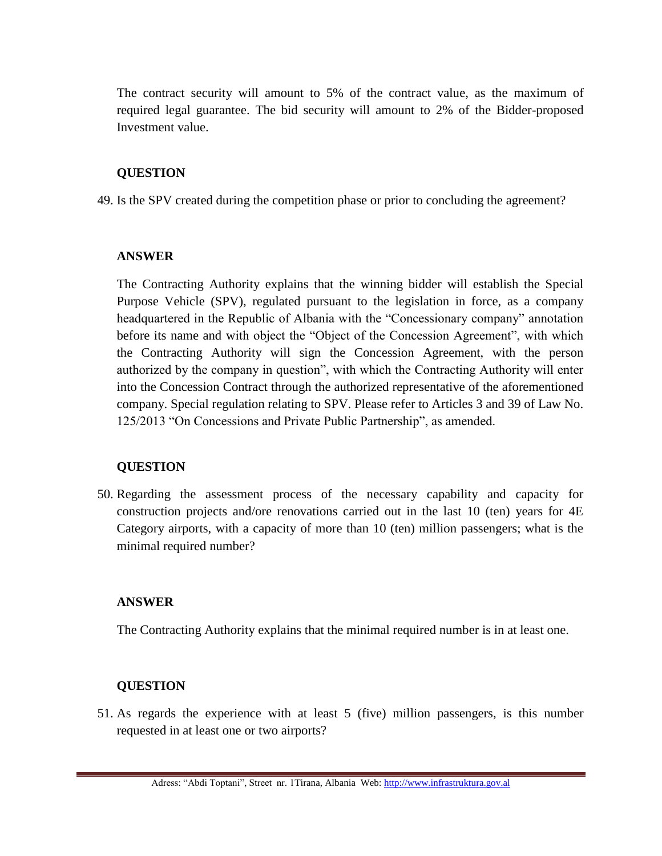The contract security will amount to 5% of the contract value, as the maximum of required legal guarantee. The bid security will amount to 2% of the Bidder-proposed Investment value.

### **QUESTION**

49. Is the SPV created during the competition phase or prior to concluding the agreement?

#### **ANSWER**

The Contracting Authority explains that the winning bidder will establish the Special Purpose Vehicle (SPV), regulated pursuant to the legislation in force, as a company headquartered in the Republic of Albania with the "Concessionary company" annotation before its name and with object the "Object of the Concession Agreement", with which the Contracting Authority will sign the Concession Agreement, with the person authorized by the company in question", with which the Contracting Authority will enter into the Concession Contract through the authorized representative of the aforementioned company. Special regulation relating to SPV. Please refer to Articles 3 and 39 of Law No. 125/2013 "On Concessions and Private Public Partnership", as amended.

## **QUESTION**

50. Regarding the assessment process of the necessary capability and capacity for construction projects and/ore renovations carried out in the last 10 (ten) years for 4E Category airports, with a capacity of more than 10 (ten) million passengers; what is the minimal required number?

## **ANSWER**

The Contracting Authority explains that the minimal required number is in at least one.

## **QUESTION**

51. As regards the experience with at least 5 (five) million passengers, is this number requested in at least one or two airports?